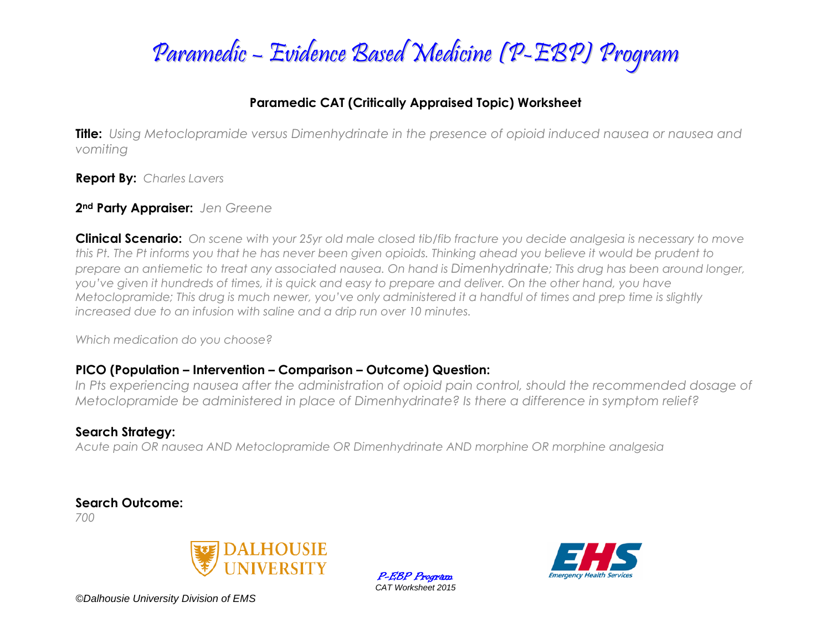

### **Paramedic CAT (Critically Appraised Topic) Worksheet**

**Title:** *Using Metoclopramide versus Dimenhydrinate in the presence of opioid induced nausea or nausea and vomiting*

**Report By:** *Charles Lavers*

#### **2nd Party Appraiser:** *Jen Greene*

**Clinical Scenario:** *On scene with your 25yr old male closed tib/fib fracture you decide analgesia is necessary to move this Pt. The Pt informs you that he has never been given opioids. Thinking ahead you believe it would be prudent to prepare an antiemetic to treat any associated nausea. On hand is Dimenhydrinate; This drug has been around longer, you've given it hundreds of times, it is quick and easy to prepare and deliver. On the other hand, you have Metoclopramide; This drug is much newer, you've only administered it a handful of times and prep time is slightly increased due to an infusion with saline and a drip run over 10 minutes.* 

*Which medication do you choose?*

### **PICO (Population – Intervention – Comparison – Outcome) Question:**

*In Pts experiencing nausea after the administration of opioid pain control, should the recommended dosage of Metoclopramide be administered in place of Dimenhydrinate? Is there a difference in symptom relief?*

### **Search Strategy:**

*Acute pain OR nausea AND Metoclopramide OR Dimenhydrinate AND morphine OR morphine analgesia*

**Search Outcome:**

*700*



*©Dalhousie University Division of EMS*

P-EBP Program *CAT Worksheet 2015*

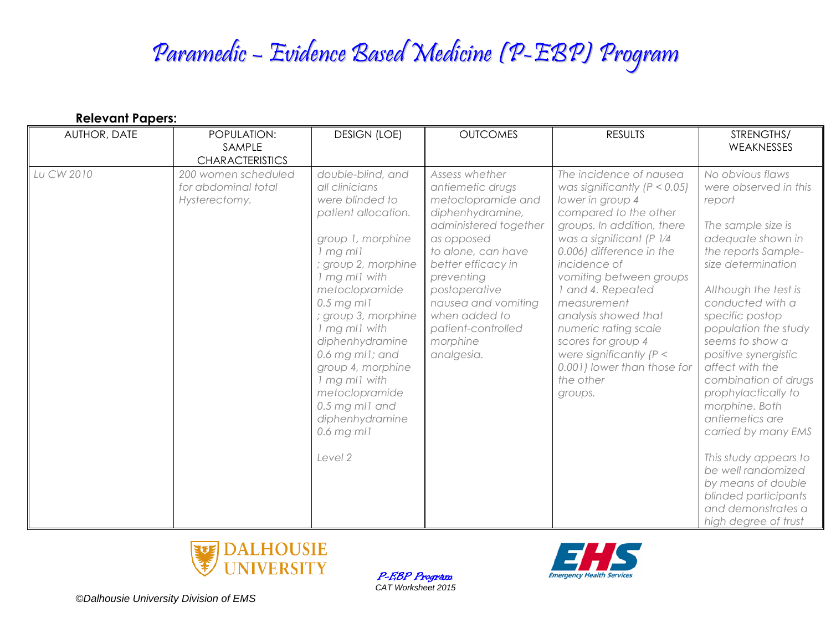| <b>Relevant Papers:</b> |                                                             |                                                                                                                                                                                                                                                                                                                                                                                                     |                                                                                                                                                                                                                                                                                        |                                                                                                                                                                                                                                                                                                                                                                                                                                       |                                                                                                                                                                                                                                                                                                                                                                                                                                                                                                                                                        |  |  |  |  |
|-------------------------|-------------------------------------------------------------|-----------------------------------------------------------------------------------------------------------------------------------------------------------------------------------------------------------------------------------------------------------------------------------------------------------------------------------------------------------------------------------------------------|----------------------------------------------------------------------------------------------------------------------------------------------------------------------------------------------------------------------------------------------------------------------------------------|---------------------------------------------------------------------------------------------------------------------------------------------------------------------------------------------------------------------------------------------------------------------------------------------------------------------------------------------------------------------------------------------------------------------------------------|--------------------------------------------------------------------------------------------------------------------------------------------------------------------------------------------------------------------------------------------------------------------------------------------------------------------------------------------------------------------------------------------------------------------------------------------------------------------------------------------------------------------------------------------------------|--|--|--|--|
| <b>AUTHOR, DATE</b>     | POPULATION:<br>SAMPLE<br><b>CHARACTERISTICS</b>             | <b>DESIGN (LOE)</b>                                                                                                                                                                                                                                                                                                                                                                                 | <b>OUTCOMES</b>                                                                                                                                                                                                                                                                        | <b>RESULTS</b>                                                                                                                                                                                                                                                                                                                                                                                                                        | STRENGTHS/<br>WEAKNESSES                                                                                                                                                                                                                                                                                                                                                                                                                                                                                                                               |  |  |  |  |
| Lu CW 2010              | 200 women scheduled<br>for abdominal total<br>Hysterectomy. | double-blind, and<br>all clinicians<br>were blinded to<br>patient allocation.<br>group 1, morphine<br>$1$ mg m $11$<br>; group 2, morphine<br>1 mg ml1 with<br>metoclopramide<br>$0.5$ mg ml1<br>; group 3, morphine<br>1 mg ml1 with<br>diphenhydramine<br>0.6 mg ml1; and<br>group 4, morphine<br>1 mg ml1 with<br>metoclopramide<br>0.5 mg ml1 and<br>diphenhydramine<br>$0.6$ mg mll<br>Level 2 | Assess whether<br>antiemetic drugs<br>metoclopramide and<br>diphenhydramine,<br>administered together<br>as opposed<br>to alone, can have<br>better efficacy in<br>preventing<br>postoperative<br>nausea and vomiting<br>when added to<br>patient-controlled<br>morphine<br>analgesia. | The incidence of nausea<br>was significantly ( $P < 0.05$ )<br>lower in group 4<br>compared to the other<br>groups. In addition, there<br>was a significant (P 1/4<br>0.006) difference in the<br>incidence of<br>vomiting between groups<br>and 4. Repeated<br>measurement<br>analysis showed that<br>numeric rating scale<br>scores for group 4<br>were significantly $(P <$<br>0.001) lower than those for<br>the other<br>groups. | No obvious flaws<br>were observed in this<br>report<br>The sample size is<br>adequate shown in<br>the reports Sample-<br>size determination<br>Although the test is<br>conducted with a<br>specific postop<br>population the study<br>seems to show a<br>positive synergistic<br>affect with the<br>combination of drugs<br>prophylactically to<br>morphine. Both<br>antiemetics are<br>carried by many EMS<br>This study appears to<br>be well randomized<br>by means of double<br>blinded participants<br>and demonstrates a<br>high degree of trust |  |  |  |  |



P-EBP Program *CAT Worksheet 2015*

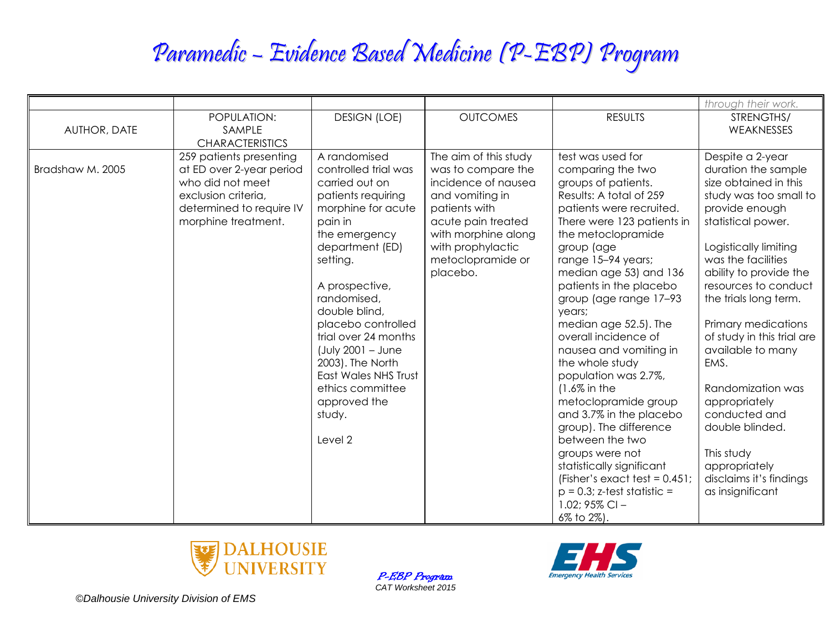|                  |                                                                                                                                                   |                                                                                                                                                                                                                                                                                                                                                                                            |                                                                                                                                                                                                           |                                                                                                                                                                                                                                                                                                                                                                                                                                                                                                                                                                                                                                                                                                         | through their work.                                                                                                                                                                                                                                                                                                                                                                                                                                                                                    |
|------------------|---------------------------------------------------------------------------------------------------------------------------------------------------|--------------------------------------------------------------------------------------------------------------------------------------------------------------------------------------------------------------------------------------------------------------------------------------------------------------------------------------------------------------------------------------------|-----------------------------------------------------------------------------------------------------------------------------------------------------------------------------------------------------------|---------------------------------------------------------------------------------------------------------------------------------------------------------------------------------------------------------------------------------------------------------------------------------------------------------------------------------------------------------------------------------------------------------------------------------------------------------------------------------------------------------------------------------------------------------------------------------------------------------------------------------------------------------------------------------------------------------|--------------------------------------------------------------------------------------------------------------------------------------------------------------------------------------------------------------------------------------------------------------------------------------------------------------------------------------------------------------------------------------------------------------------------------------------------------------------------------------------------------|
| AUTHOR, DATE     | POPULATION:<br>SAMPLE<br><b>CHARACTERISTICS</b>                                                                                                   | <b>DESIGN (LOE)</b>                                                                                                                                                                                                                                                                                                                                                                        | <b>OUTCOMES</b>                                                                                                                                                                                           | <b>RESULTS</b>                                                                                                                                                                                                                                                                                                                                                                                                                                                                                                                                                                                                                                                                                          | STRENGTHS/<br>WEAKNESSES                                                                                                                                                                                                                                                                                                                                                                                                                                                                               |
| Bradshaw M. 2005 | 259 patients presenting<br>at ED over 2-year period<br>who did not meet<br>exclusion criteria,<br>determined to require IV<br>morphine treatment. | A randomised<br>controlled trial was<br>carried out on<br>patients requiring<br>morphine for acute<br>pain in<br>the emergency<br>department (ED)<br>setting.<br>A prospective,<br>randomised,<br>double blind,<br>placebo controlled<br>trial over 24 months<br>$($ July 2001 - June<br>2003). The North<br>East Wales NHS Trust<br>ethics committee<br>approved the<br>study.<br>Level 2 | The aim of this study<br>was to compare the<br>incidence of nausea<br>and vomiting in<br>patients with<br>acute pain treated<br>with morphine along<br>with prophylactic<br>metoclopramide or<br>placebo. | test was used for<br>comparing the two<br>groups of patients.<br>Results: A total of 259<br>patients were recruited.<br>There were 123 patients in<br>the metoclopramide<br>group (age<br>range 15-94 years;<br>median age 53) and 136<br>patients in the placebo<br>group (age range 17-93<br>years;<br>median age 52.5). The<br>overall incidence of<br>nausea and vomiting in<br>the whole study<br>population was 2.7%,<br>$(1.6\%$ in the<br>metoclopramide group<br>and 3.7% in the placebo<br>group). The difference<br>between the two<br>groups were not<br>statistically significant<br>(Fisher's exact test = $0.451$ ;<br>$p = 0.3$ ; z-test statistic =<br>1.02; $95\%$ CI -<br>6% to 2%). | Despite a 2-year<br>duration the sample<br>size obtained in this<br>study was too small to<br>provide enough<br>statistical power.<br>Logistically limiting<br>was the facilities<br>ability to provide the<br>resources to conduct<br>the trials long term.<br>Primary medications<br>of study in this trial are<br>available to many<br>EMS.<br>Randomization was<br>appropriately<br>conducted and<br>double blinded.<br>This study<br>appropriately<br>disclaims it's findings<br>as insignificant |



P-EBP Program *CAT Worksheet 2015*

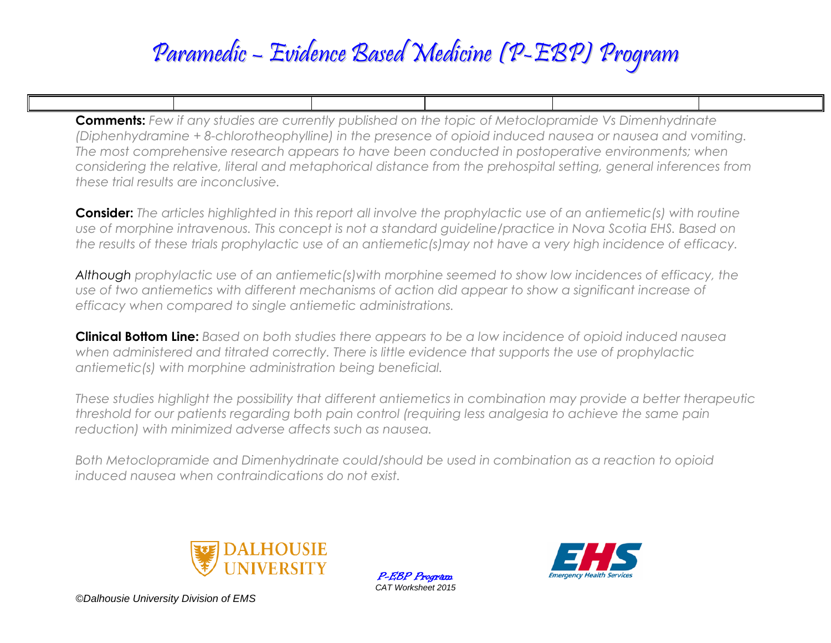**Comments:** *Few if any studies are currently published on the topic of Metoclopramide Vs Dimenhydrinate (Diphenhydramine + 8-chlorotheophylline) in the presence of opioid induced nausea or nausea and vomiting. The most comprehensive research appears to have been conducted in postoperative environments; when considering the relative, literal and metaphorical distance from the prehospital setting, general inferences from these trial results are inconclusive.* 

**Consider:** *The articles highlighted in this report all involve the prophylactic use of an antiemetic(s) with routine use of morphine intravenous. This concept is not a standard guideline/practice in Nova Scotia EHS. Based on the results of these trials prophylactic use of an antiemetic(s)may not have a very high incidence of efficacy.*

*Although prophylactic use of an antiemetic(s)with morphine seemed to show low incidences of efficacy, the use of two antiemetics with different mechanisms of action did appear to show a significant increase of efficacy when compared to single antiemetic administrations.* 

**Clinical Bottom Line:** *Based on both studies there appears to be a low incidence of opioid induced nausea when administered and titrated correctly. There is little evidence that supports the use of prophylactic antiemetic(s) with morphine administration being beneficial.*

*These studies highlight the possibility that different antiemetics in combination may provide a better therapeutic threshold for our patients regarding both pain control (requiring less analgesia to achieve the same pain reduction) with minimized adverse affects such as nausea.*

*Both Metoclopramide and Dimenhydrinate could/should be used in combination as a reaction to opioid induced nausea when contraindications do not exist.*



P-EBP Program *CAT Worksheet 2015*